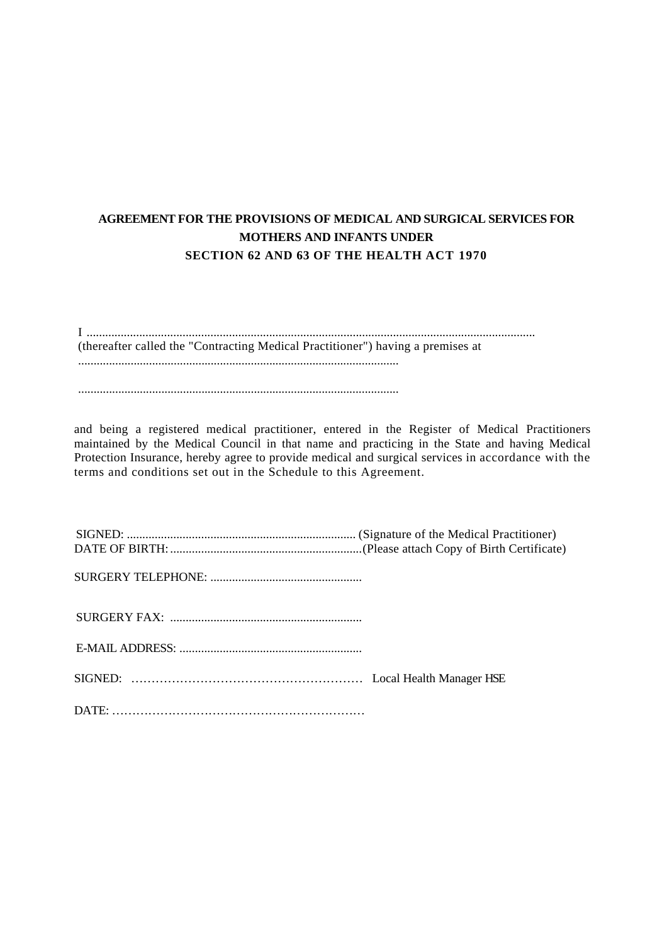## **AGREEMENT FOR THE PROVISIONS OF MEDICAL AND SURGICAL SERVICES FOR MOTHERS AND INFANTS UNDER SECTION 62 AND 63 OF THE HEALTH ACT 1970**

I ................................................................................................................................................. (thereafter called the "Contracting Medical Practitioner") having a premises at ........................................................................................................

........................................................................................................

and being a registered medical practitioner, entered in the Register of Medical Practitioners maintained by the Medical Council in that name and practicing in the State and having Medical Protection Insurance, hereby agree to provide medical and surgical services in accordance with the terms and conditions set out in the Schedule to this Agreement.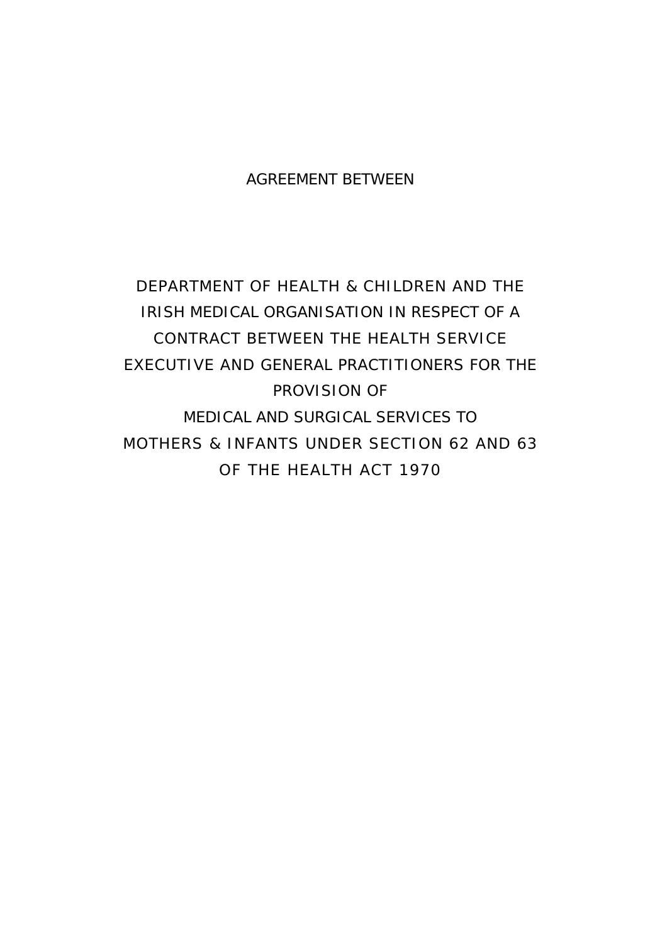# AGREEMENT BETWEEN

DEPARTMENT OF HEALTH & CHILDREN AND THE IRISH MEDICAL ORGANISATION IN RESPECT OF A CONTRACT BETWEEN THE HEALTH SERVICE EXECUTIVE AND GENERAL PRACTITIONERS FOR THE PROVISION OF MEDICAL AND SURGICAL SERVICES TO MOTHERS & INFANTS UNDER SECTION 62 AND 63 OF THE HEALTH ACT 1970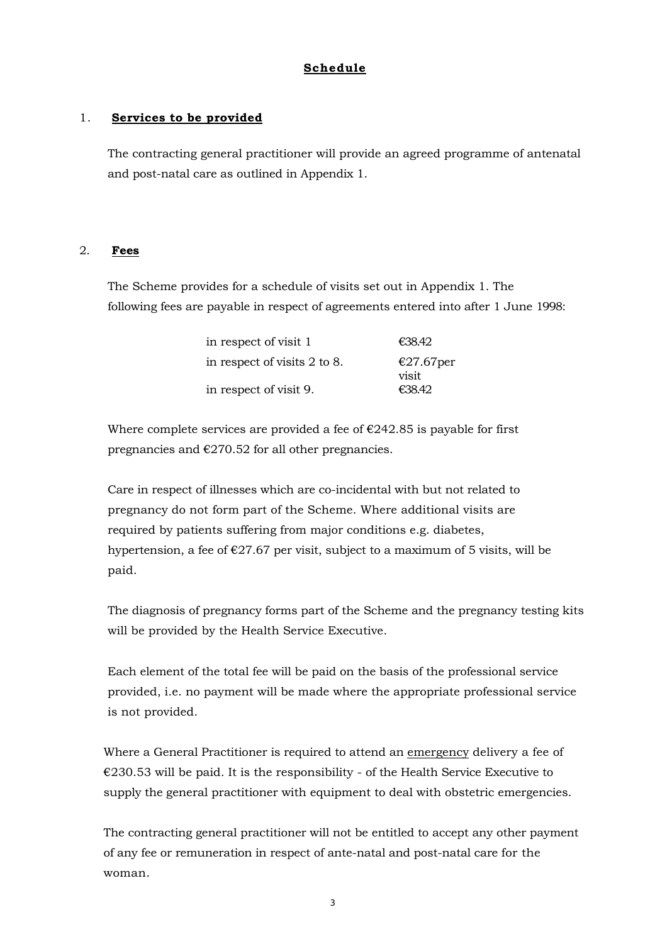## **Schedule**

### 1. **Services to be provided**

The contracting general practitioner will provide an agreed programme of antenatal and post-natal care as outlined in Appendix 1.

#### 2. **Fees**

The Scheme provides for a schedule of visits set out in Appendix 1. The following fees are payable in respect of agreements entered into after 1 June 1998:

| in respect of visit 1        | €38.42                |
|------------------------------|-----------------------|
| in respect of visits 2 to 8. | €27.67 $per$<br>visit |
| in respect of visit 9.       | £38.42                |
|                              |                       |

Where complete services are provided a fee of  $\epsilon$ 242.85 is payable for first pregnancies and  $\epsilon$ 270.52 for all other pregnancies.

Care in respect of illnesses which are co-incidental with but not related to pregnancy do not form part of the Scheme. Where additional visits are required by patients suffering from major conditions e.g. diabetes, hypertension, a fee of  $\epsilon$ 27.67 per visit, subject to a maximum of 5 visits, will be paid.

The diagnosis of pregnancy forms part of the Scheme and the pregnancy testing kits will be provided by the Health Service Executive.

Each element of the total fee will be paid on the basis of the professional service provided, i.e. no payment will be made where the appropriate professional service is not provided.

Where a General Practitioner is required to attend an emergency delivery a fee of  $€230.53$  will be paid. It is the responsibility - of the Health Service Executive to supply the general practitioner with equipment to deal with obstetric emergencies.

The contracting general practitioner will not be entitled to accept any other payment of any fee or remuneration in respect of ante-natal and post-natal care for the woman.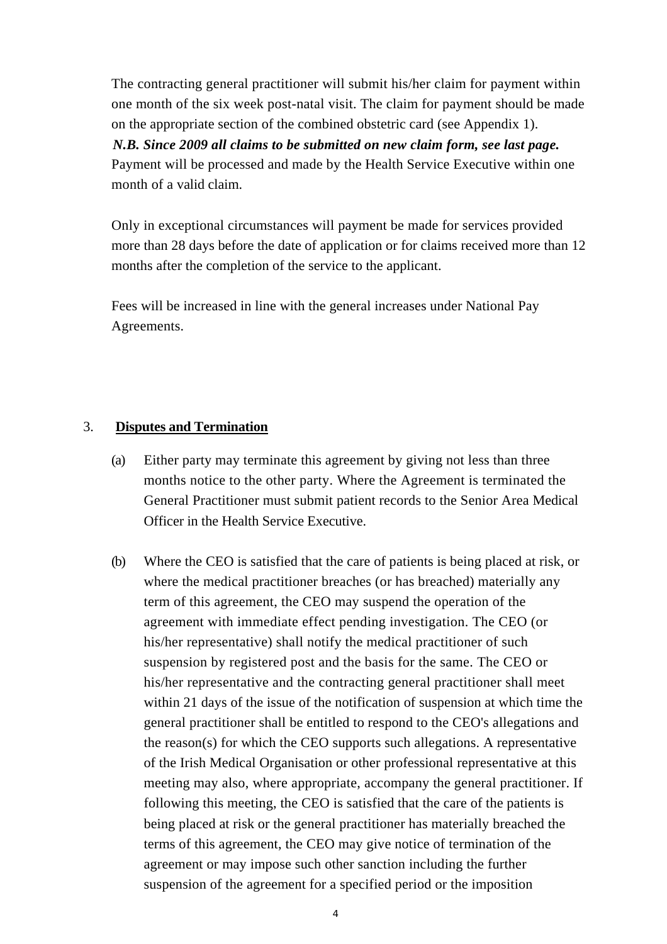The contracting general practitioner will submit his/her claim for payment within one month of the six week post-natal visit. The claim for payment should be made on the appropriate section of the combined obstetric card (see Appendix 1). *N.B. Since 2009 all claims to be submitted on new claim form, see last page.*  Payment will be processed and made by the Health Service Executive within one month of a valid claim.

Only in exceptional circumstances will payment be made for services provided more than 28 days before the date of application or for claims received more than 12 months after the completion of the service to the applicant.

Fees will be increased in line with the general increases under National Pay Agreements.

## 3. **Disputes and Termination**

- (a) Either party may terminate this agreement by giving not less than three months notice to the other party. Where the Agreement is terminated the General Practitioner must submit patient records to the Senior Area Medical Officer in the Health Service Executive.
- (b) Where the CEO is satisfied that the care of patients is being placed at risk, or where the medical practitioner breaches (or has breached) materially any term of this agreement, the CEO may suspend the operation of the agreement with immediate effect pending investigation. The CEO (or his/her representative) shall notify the medical practitioner of such suspension by registered post and the basis for the same. The CEO or his/her representative and the contracting general practitioner shall meet within 21 days of the issue of the notification of suspension at which time the general practitioner shall be entitled to respond to the CEO's allegations and the reason(s) for which the CEO supports such allegations. A representative of the Irish Medical Organisation or other professional representative at this meeting may also, where appropriate, accompany the general practitioner. If following this meeting, the CEO is satisfied that the care of the patients is being placed at risk or the general practitioner has materially breached the terms of this agreement, the CEO may give notice of termination of the agreement or may impose such other sanction including the further suspension of the agreement for a specified period or the imposition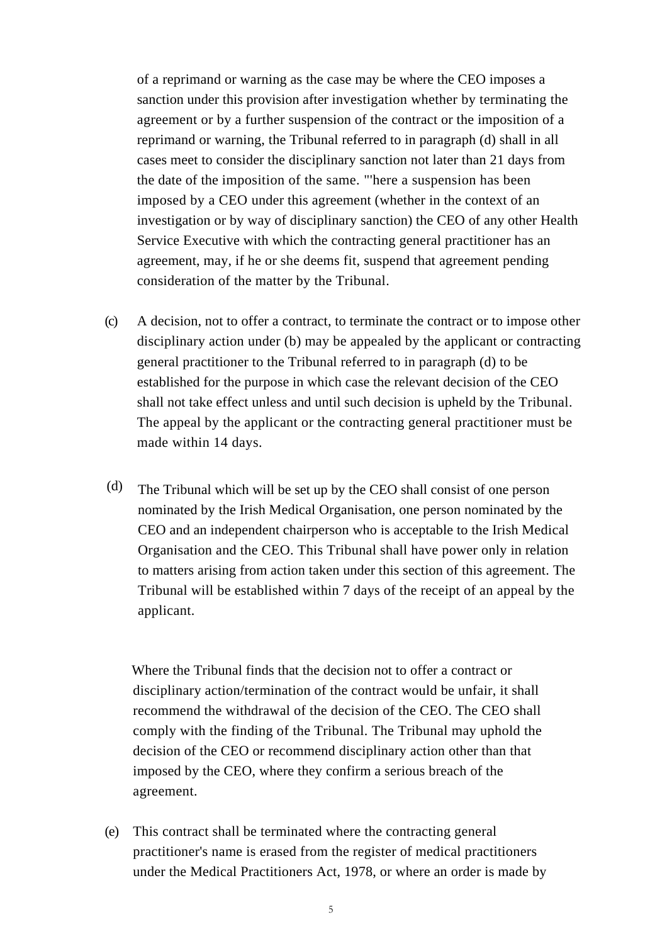of a reprimand or warning as the case may be where the CEO imposes a sanction under this provision after investigation whether by terminating the agreement or by a further suspension of the contract or the imposition of a reprimand or warning, the Tribunal referred to in paragraph (d) shall in all cases meet to consider the disciplinary sanction not later than 21 days from the date of the imposition of the same. "'here a suspension has been imposed by a CEO under this agreement (whether in the context of an investigation or by way of disciplinary sanction) the CEO of any other Health Service Executive with which the contracting general practitioner has an agreement, may, if he or she deems fit, suspend that agreement pending consideration of the matter by the Tribunal.

- (c) A decision, not to offer a contract, to terminate the contract or to impose other disciplinary action under (b) may be appealed by the applicant or contracting general practitioner to the Tribunal referred to in paragraph (d) to be established for the purpose in which case the relevant decision of the CEO shall not take effect unless and until such decision is upheld by the Tribunal. The appeal by the applicant or the contracting general practitioner must be made within 14 days.
- The Tribunal which will be set up by the CEO shall consist of one person nominated by the Irish Medical Organisation, one person nominated by the CEO and an independent chairperson who is acceptable to the Irish Medical Organisation and the CEO. This Tribunal shall have power only in relation to matters arising from action taken under this section of this agreement. The Tribunal will be established within 7 days of the receipt of an appeal by the applicant. (d)

Where the Tribunal finds that the decision not to offer a contract or disciplinary action/termination of the contract would be unfair, it shall recommend the withdrawal of the decision of the CEO. The CEO shall comply with the finding of the Tribunal. The Tribunal may uphold the decision of the CEO or recommend disciplinary action other than that imposed by the CEO, where they confirm a serious breach of the agreement.

(e) This contract shall be terminated where the contracting general practitioner's name is erased from the register of medical practitioners under the Medical Practitioners Act, 1978, or where an order is made by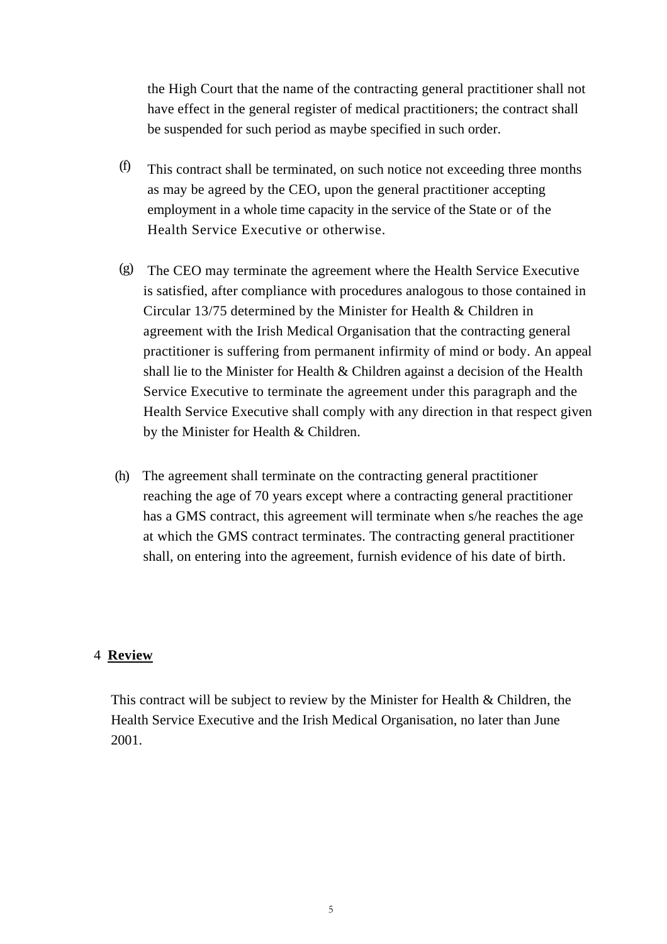the High Court that the name of the contracting general practitioner shall not have effect in the general register of medical practitioners; the contract shall be suspended for such period as maybe specified in such order.

- (f) This contract shall be terminated, on such notice not exceeding three months as may be agreed by the CEO, upon the general practitioner accepting employment in a whole time capacity in the service of the State or of the Health Service Executive or otherwise.
- (g) The CEO may terminate the agreement where the Health Service Executive is satisfied, after compliance with procedures analogous to those contained in Circular 13/75 determined by the Minister for Health & Children in agreement with the Irish Medical Organisation that the contracting general practitioner is suffering from permanent infirmity of mind or body. An appeal shall lie to the Minister for Health & Children against a decision of the Health Service Executive to terminate the agreement under this paragraph and the Health Service Executive shall comply with any direction in that respect given by the Minister for Health & Children.
- (h) The agreement shall terminate on the contracting general practitioner reaching the age of 70 years except where a contracting general practitioner has a GMS contract, this agreement will terminate when s/he reaches the age at which the GMS contract terminates. The contracting general practitioner shall, on entering into the agreement, furnish evidence of his date of birth.

## 4 **Review**

This contract will be subject to review by the Minister for Health & Children, the Health Service Executive and the Irish Medical Organisation, no later than June 2001.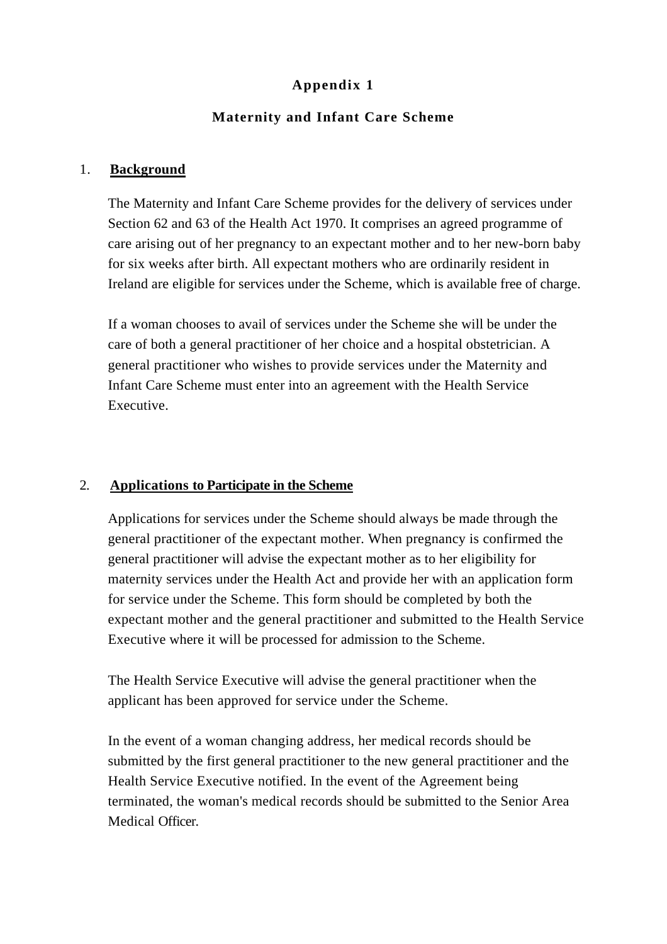# **Appendix 1**

# **Maternity and Infant Care Scheme**

## 1. **Background**

The Maternity and Infant Care Scheme provides for the delivery of services under Section 62 and 63 of the Health Act 1970. It comprises an agreed programme of care arising out of her pregnancy to an expectant mother and to her new-born baby for six weeks after birth. All expectant mothers who are ordinarily resident in Ireland are eligible for services under the Scheme, which is available free of charge.

If a woman chooses to avail of services under the Scheme she will be under the care of both a general practitioner of her choice and a hospital obstetrician. A general practitioner who wishes to provide services under the Maternity and Infant Care Scheme must enter into an agreement with the Health Service Executive.

## 2. **Applications to Participate in the Scheme**

Applications for services under the Scheme should always be made through the general practitioner of the expectant mother. When pregnancy is confirmed the general practitioner will advise the expectant mother as to her eligibility for maternity services under the Health Act and provide her with an application form for service under the Scheme. This form should be completed by both the expectant mother and the general practitioner and submitted to the Health Service Executive where it will be processed for admission to the Scheme.

The Health Service Executive will advise the general practitioner when the applicant has been approved for service under the Scheme.

In the event of a woman changing address, her medical records should be submitted by the first general practitioner to the new general practitioner and the Health Service Executive notified. In the event of the Agreement being terminated, the woman's medical records should be submitted to the Senior Area Medical Officer.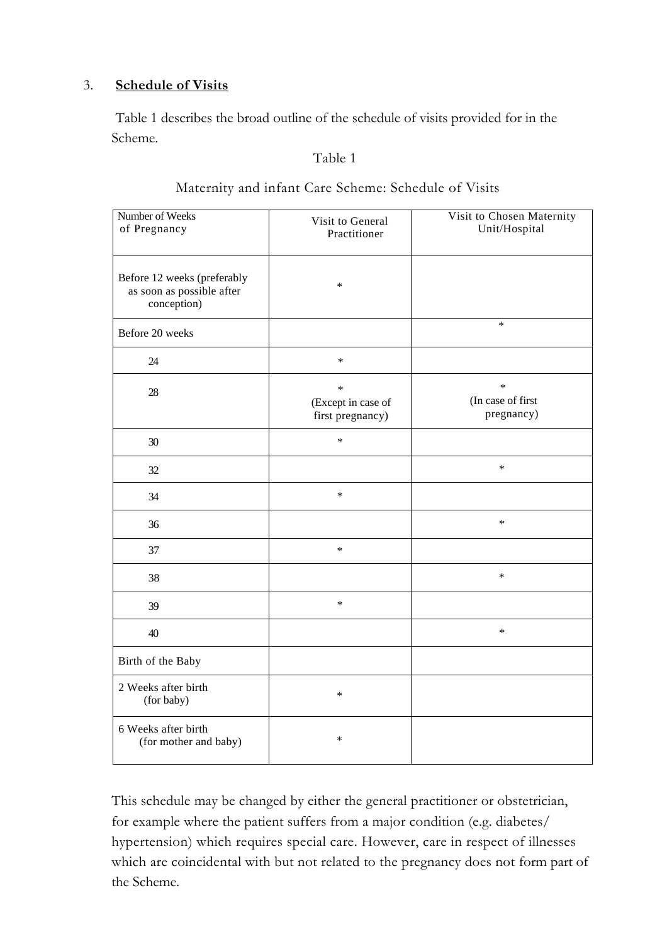## 3. **Schedule of Visits**

Table 1 describes the broad outline of the schedule of visits provided for in the Scheme.

### Table 1

| Number of Weeks<br>of Pregnancy                                         | Visit to General<br>Practitioner                 | Visit to Chosen Maternity<br>Unit/Hospital |
|-------------------------------------------------------------------------|--------------------------------------------------|--------------------------------------------|
| Before 12 weeks (preferably<br>as soon as possible after<br>conception) | $\ast$                                           |                                            |
| Before 20 weeks                                                         |                                                  | $\ast$                                     |
| 24                                                                      | $\ast$                                           |                                            |
| 28                                                                      | $\ast$<br>(Except in case of<br>first pregnancy) | $\ast$<br>(In case of first<br>pregnancy)  |
| 30                                                                      | $\ast$                                           |                                            |
| 32                                                                      |                                                  | $\ast$                                     |
| 34                                                                      | $\ast$                                           |                                            |
| 36                                                                      |                                                  | $\ast$                                     |
| 37                                                                      | $\ast$                                           |                                            |
| 38                                                                      |                                                  | $\ast$                                     |
| 39                                                                      | $\ast$                                           |                                            |
| 40                                                                      |                                                  | $\ast$                                     |
| Birth of the Baby                                                       |                                                  |                                            |
| 2 Weeks after birth<br>(for baby)                                       | $\ast$                                           |                                            |
| 6 Weeks after birth<br>(for mother and baby)                            | $\ast$                                           |                                            |

# Maternity and infant Care Scheme: Schedule of Visits

This schedule may be changed by either the general practitioner or obstetrician, for example where the patient suffers from a major condition (e.g. diabetes/ hypertension) which requires special care. However, care in respect of illnesses which are coincidental with but not related to the pregnancy does not form part of the Scheme.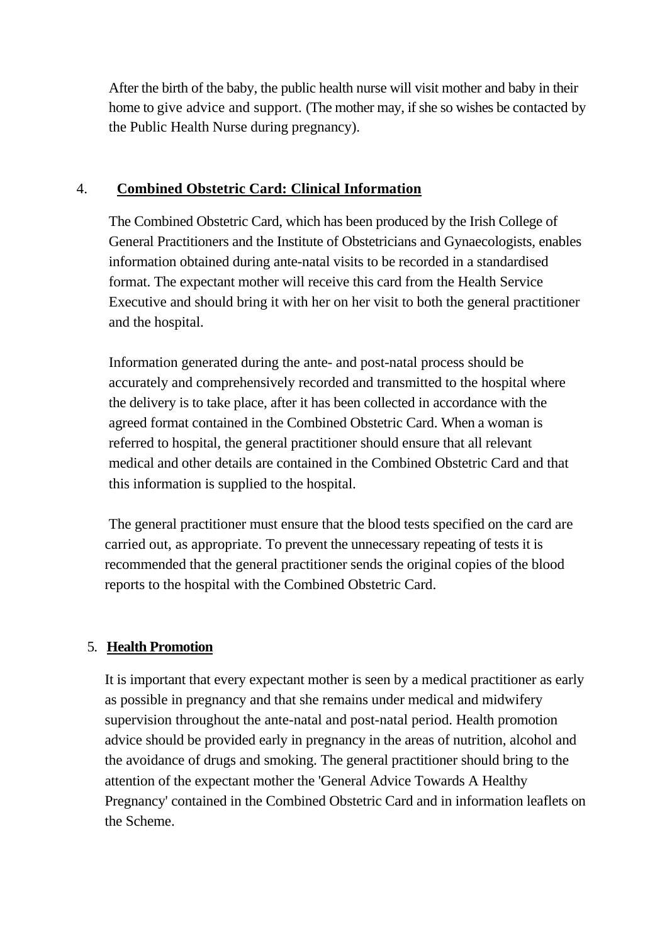After the birth of the baby, the public health nurse will visit mother and baby in their home to give advice and support. (The mother may, if she so wishes be contacted by the Public Health Nurse during pregnancy).

# 4. **Combined Obstetric Card: Clinical Information**

The Combined Obstetric Card, which has been produced by the Irish College of General Practitioners and the Institute of Obstetricians and Gynaecologists, enables information obtained during ante-natal visits to be recorded in a standardised format. The expectant mother will receive this card from the Health Service Executive and should bring it with her on her visit to both the general practitioner and the hospital.

Information generated during the ante- and post-natal process should be accurately and comprehensively recorded and transmitted to the hospital where the delivery is to take place, after it has been collected in accordance with the agreed format contained in the Combined Obstetric Card. When a woman is referred to hospital, the general practitioner should ensure that all relevant medical and other details are contained in the Combined Obstetric Card and that this information is supplied to the hospital.

The general practitioner must ensure that the blood tests specified on the card are carried out, as appropriate. To prevent the unnecessary repeating of tests it is recommended that the general practitioner sends the original copies of the blood reports to the hospital with the Combined Obstetric Card.

# 5. **Health Promotion**

It is important that every expectant mother is seen by a medical practitioner as early as possible in pregnancy and that she remains under medical and midwifery supervision throughout the ante-natal and post-natal period. Health promotion advice should be provided early in pregnancy in the areas of nutrition, alcohol and the avoidance of drugs and smoking. The general practitioner should bring to the attention of the expectant mother the 'General Advice Towards A Healthy Pregnancy' contained in the Combined Obstetric Card and in information leaflets on the Scheme.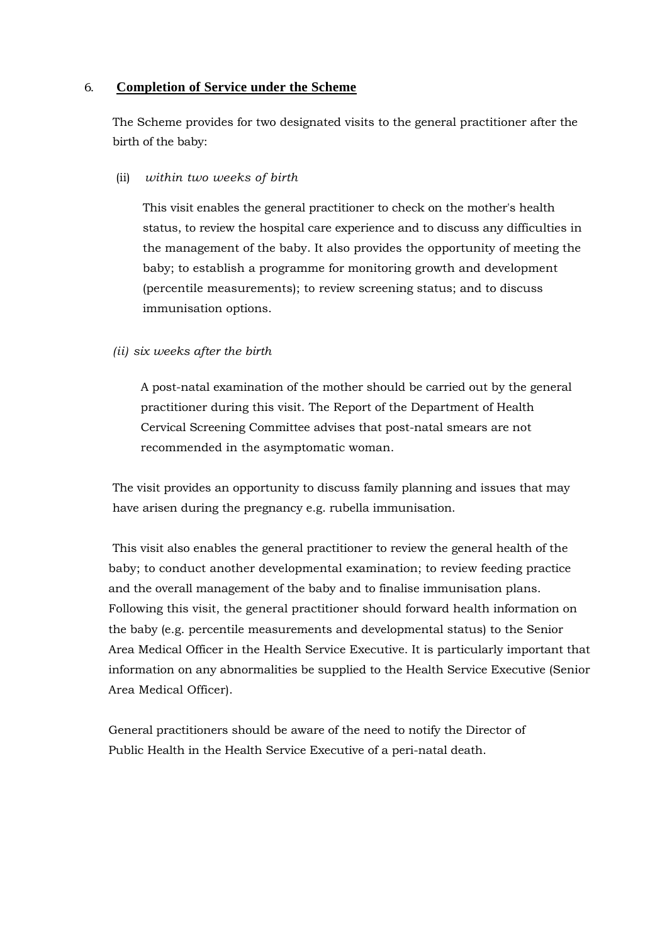#### 6. **Completion of Service under the Scheme**

The Scheme provides for two designated visits to the general practitioner after the birth of the baby:

(ii) *within two weeks of birth* 

This visit enables the general practitioner to check on the mother's health status, to review the hospital care experience and to discuss any difficulties in the management of the baby. It also provides the opportunity of meeting the baby; to establish a programme for monitoring growth and development (percentile measurements); to review screening status; and to discuss immunisation options.

### *(ii) six weeks after the birth*

A post-natal examination of the mother should be carried out by the general practitioner during this visit. The Report of the Department of Health Cervical Screening Committee advises that post-natal smears are not recommended in the asymptomatic woman.

The visit provides an opportunity to discuss family planning and issues that may have arisen during the pregnancy e.g. rubella immunisation.

This visit also enables the general practitioner to review the general health of the baby; to conduct another developmental examination; to review feeding practice and the overall management of the baby and to finalise immunisation plans. Following this visit, the general practitioner should forward health information on the baby (e.g. percentile measurements and developmental status) to the Senior Area Medical Officer in the Health Service Executive. It is particularly important that information on any abnormalities be supplied to the Health Service Executive (Senior Area Medical Officer).

General practitioners should be aware of the need to notify the Director of Public Health in the Health Service Executive of a peri-natal death.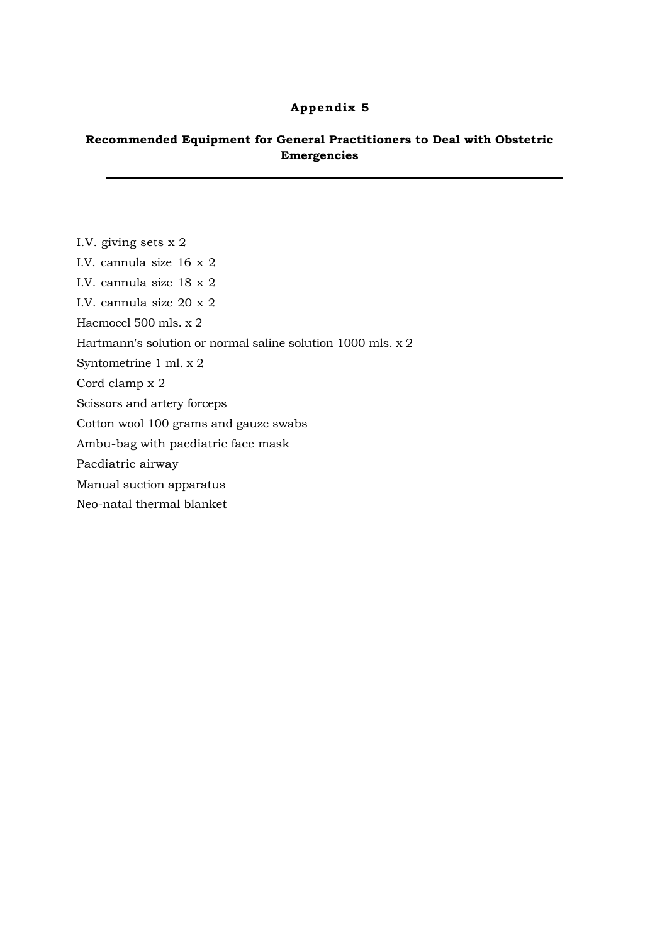#### **Appendix 5**

### **Recommended Equipment for General Practitioners to Deal with Obstetric Emergencies**

- I.V. giving sets x 2
- I.V. cannula size 16 x 2
- I.V. cannula size 18 x 2
- I.V. cannula size 20 x 2
- Haemocel 500 mls. x 2
- Hartmann's solution or normal saline solution 1000 mls. x 2
- Syntometrine 1 ml. x 2
- Cord clamp x 2
- Scissors and artery forceps
- Cotton wool 100 grams and gauze swabs
- Ambu-bag with paediatric face mask
- Paediatric airway
- Manual suction apparatus
- Neo-natal thermal blanket